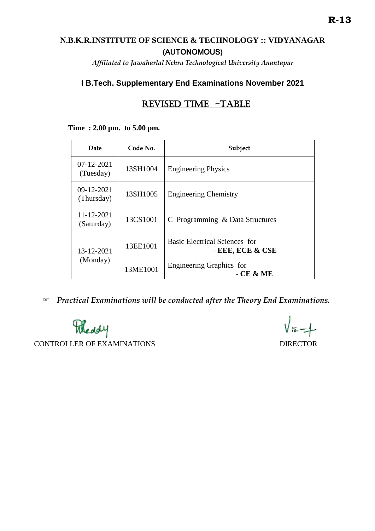## **N.B.K.R.INSTITUTE OF SCIENCE & TECHNOLOGY :: VIDYANAGAR** (AUTONOMOUS)

*Affiliated to Jawaharlal Nehru Technological University Anantapur*

## **I B.Tech. Supplementary End Examinations November 2021**

# REVISED TIME -TABLE

#### **Time : 2.00 pm. to 5.00 pm.**

| Date                           | Code No. | Subject                                                  |
|--------------------------------|----------|----------------------------------------------------------|
| $07 - 12 - 2021$<br>(Tuesday)  | 13SH1004 | <b>Engineering Physics</b>                               |
| 09-12-2021<br>(Thursday)       | 13SH1005 | <b>Engineering Chemistry</b>                             |
| $11 - 12 - 2021$<br>(Saturday) | 13CS1001 | C Programming & Data Structures                          |
| 13-12-2021<br>(Monday)         | 13EE1001 | <b>Basic Electrical Sciences for</b><br>- EEE, ECE & CSE |
|                                | 13ME1001 | Engineering Graphics for<br>$-$ CE & ME                  |

*Practical Examinations will be conducted after the Theory End Examinations.* 

Meddy CONTROLLER OF EXAMINATIONS DIRECTOR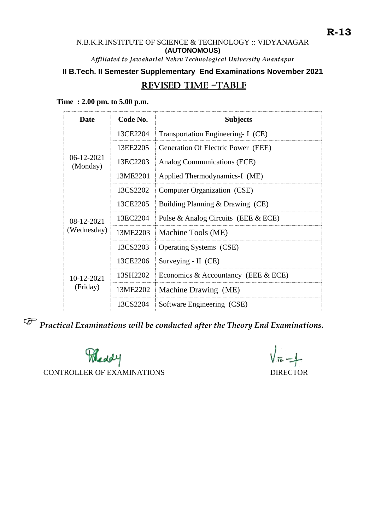## N.B.K.R.INSTITUTE OF SCIENCE & TECHNOLOGY :: VIDYANAGAR **(AUTONOMOUS)**

*Affiliated to Jawaharlal Nehru Technological University Anantapur*

# **II B.Tech. II Semester Supplementary End Examinations November 2021**

## REVISED TIME -TABLE

**Time : 2.00 pm. to 5.00 p.m.**

| Date                      | Code No. | <b>Subjects</b>                       |
|---------------------------|----------|---------------------------------------|
| $06-12-2021$<br>(Monday)  | 13CE2204 | Transportation Engineering- I (CE)    |
|                           | 13EE2205 | Generation Of Electric Power (EEE)    |
|                           | 13EC2203 | Analog Communications (ECE)           |
|                           | 13ME2201 | Applied Thermodynamics-I (ME)         |
|                           | 13CS2202 | Computer Organization (CSE)           |
| 08-12-2021<br>(Wednesday) | 13CE2205 | Building Planning & Drawing (CE)      |
|                           | 13EC2204 | Pulse & Analog Circuits (EEE & ECE)   |
|                           | 13ME2203 | Machine Tools (ME)                    |
|                           | 13CS2203 | <b>Operating Systems</b> (CSE)        |
| 10-12-2021<br>(Friday)    | 13CE2206 | Surveying - II (CE)                   |
|                           | 13SH2202 | Economics & Accountancy (EEE $&$ ECE) |
|                           | 13ME2202 | Machine Drawing (ME)                  |
|                           | 13CS2204 | Software Engineering (CSE)            |

*Practical Examinations will be conducted after the Theory End Examinations.* 

Meddy

CONTROLLER OF EXAMINATIONS DIRECTOR

 $\sqrt{56-1}$